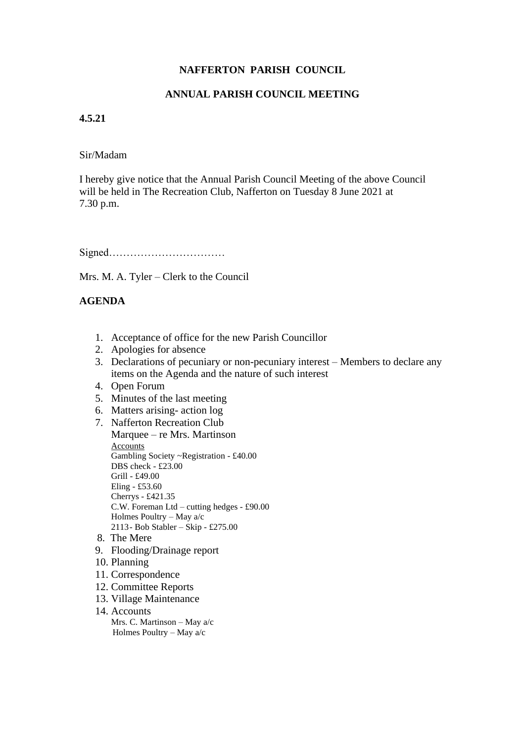# **NAFFERTON PARISH COUNCIL**

### **ANNUAL PARISH COUNCIL MEETING**

#### **4.5.21**

#### Sir/Madam

I hereby give notice that the Annual Parish Council Meeting of the above Council will be held in The Recreation Club, Nafferton on Tuesday 8 June 2021 at 7.30 p.m.

Signed……………………………

Mrs. M. A. Tyler – Clerk to the Council

# **AGENDA**

- 1. Acceptance of office for the new Parish Councillor
- 2. Apologies for absence
- 3. Declarations of pecuniary or non-pecuniary interest Members to declare any items on the Agenda and the nature of such interest
- 4. Open Forum
- 5. Minutes of the last meeting
- 6. Matters arising- action log
- 7. Nafferton Recreation Club Marquee – re Mrs. Martinson **Accounts** Gambling Society ~Registration - £40.00 DBS check - £23.00 Grill - £49.00 Eling - £53.60 Cherrys - £421.35 C.W. Foreman Ltd – cutting hedges - £90.00 Holmes Poultry – May a/c 2113- Bob Stabler – Skip - £275.00 8. The Mere
- 
- 9. Flooding/Drainage report
- 10. Planning
- 11. Correspondence
- 12. Committee Reports
- 13. Village Maintenance
- 14. Accounts

 Mrs. C. Martinson – May a/c Holmes Poultry – May a/c